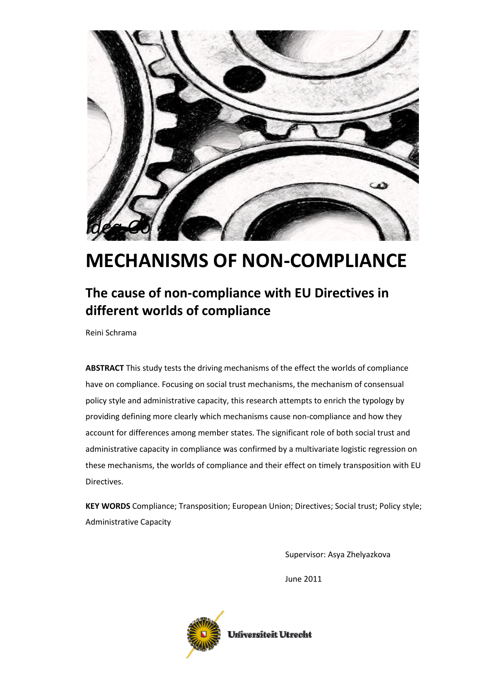

# MECHANISMS OF NON-COMPLIANCE

### The cause of non-compliance with EU Directives in different worlds of compliance

Reini Schrama

ABSTRACT This study tests the driving mechanisms of the effect the worlds of compliance have on compliance. Focusing on social trust mechanisms, the mechanism of consensual policy style and administrative capacity, this research attempts to enrich the typology by providing defining more clearly which mechanisms cause non-compliance and how they account for differences among member states. The significant role of both social trust and administrative capacity in compliance was confirmed by a multivariate logistic regression on these mechanisms, the worlds of compliance and their effect on timely transposition with EU Directives.

KEY WORDS Compliance; Transposition; European Union; Directives; Social trust; Policy style; Administrative Capacity

Supervisor: Asya Zhelyazkova

June 2011

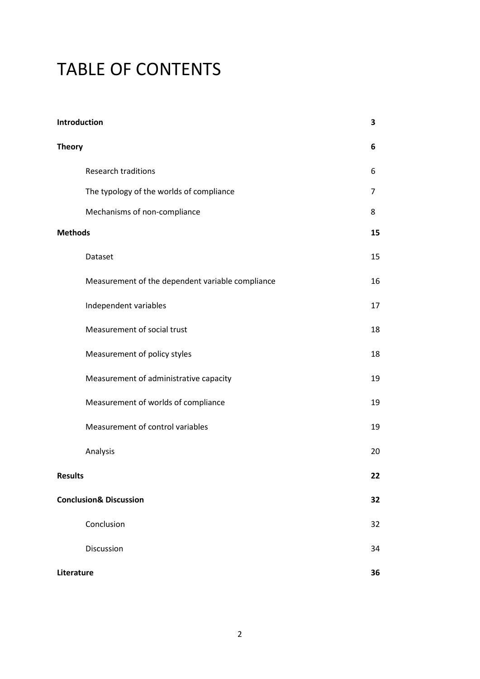# TABLE OF CONTENTS

| Introduction                                     | 3  |
|--------------------------------------------------|----|
| <b>Theory</b>                                    | 6  |
| Research traditions                              | 6  |
| The typology of the worlds of compliance         | 7  |
| Mechanisms of non-compliance                     | 8  |
| <b>Methods</b>                                   | 15 |
| Dataset                                          | 15 |
| Measurement of the dependent variable compliance | 16 |
| Independent variables                            | 17 |
| Measurement of social trust                      | 18 |
| Measurement of policy styles                     | 18 |
| Measurement of administrative capacity           | 19 |
| Measurement of worlds of compliance              | 19 |
| Measurement of control variables                 | 19 |
| Analysis                                         | 20 |
| <b>Results</b>                                   | 22 |
| <b>Conclusion&amp; Discussion</b>                | 32 |
| Conclusion                                       | 32 |
| Discussion                                       | 34 |
| Literature                                       | 36 |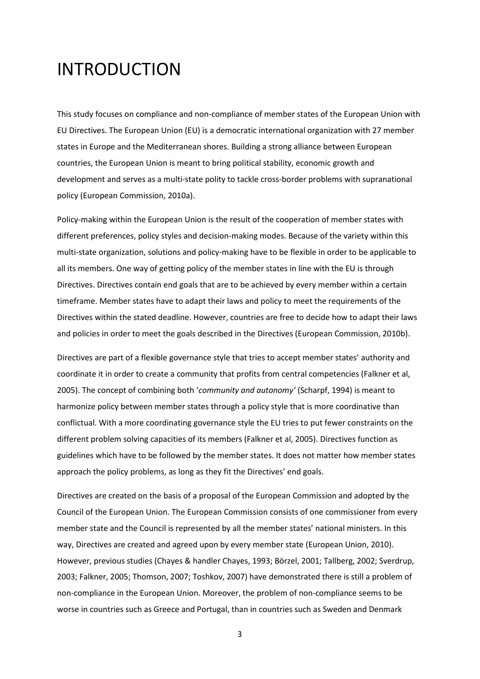# INTRODUCTION

This study focuses on compliance and non-compliance of member states of the European Union with EU Directives. The European Union (EU) is a democratic international organization with 27 member states in Europe and the Mediterranean shores. Building a strong alliance between European countries, the European Union is meant to bring political stability, economic growth and development and serves as a multi-state polity to tackle cross-border problems with supranational policy (European Commission, 2010a).

Policy-making within the European Union is the result of the cooperation of member states with different preferences, policy styles and decision-making modes. Because of the variety within this multi-state organization, solutions and policy-making have to be flexible in order to be applicable to all its members. One way of getting policy of the member states in line with the EU is through Directives. Directives contain end goals that are to be achieved by every member within a certain timeframe. Member states have to adapt their laws and policy to meet the requirements of the Directives within the stated deadline. However, countries are free to decide how to adapt their laws and policies in order to meet the goals described in the Directives (European Commission, 2010b).

Directives are part of a flexible governance style that tries to accept member states' authority and coordinate it in order to create a community that profits from central competencies (Falkner et al, 2005). The concept of combining both 'community and autonomy' (Scharpf, 1994) is meant to harmonize policy between member states through a policy style that is more coordinative than conflictual. With a more coordinating governance style the EU tries to put fewer constraints on the different problem solving capacities of its members (Falkner et al, 2005). Directives function as guidelines which have to be followed by the member states. It does not matter how member states approach the policy problems, as long as they fit the Directives' end goals.

Directives are created on the basis of a proposal of the European Commission and adopted by the Council of the European Union. The European Commission consists of one commissioner from every member state and the Council is represented by all the member states' national ministers. In this way, Directives are created and agreed upon by every member state (European Union, 2010). However, previous studies (Chayes & handler Chayes, 1993; Börzel, 2001; Tallberg, 2002; Sverdrup, 2003; Falkner, 2005; Thomson, 2007; Toshkov, 2007) have demonstrated there is still a problem of non-compliance in the European Union. Moreover, the problem of non-compliance seems to be worse in countries such as Greece and Portugal, than in countries such as Sweden and Denmark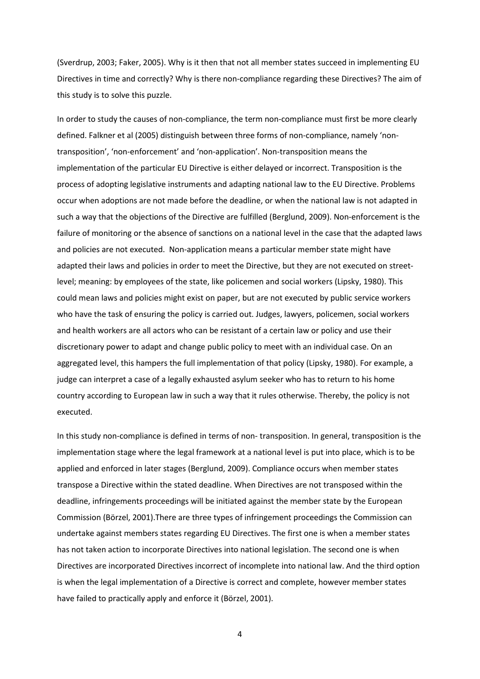(Sverdrup, 2003; Faker, 2005). Why is it then that not all member states succeed in implementing EU Directives in time and correctly? Why is there non-compliance regarding these Directives? The aim of this study is to solve this puzzle.

In order to study the causes of non-compliance, the term non-compliance must first be more clearly defined. Falkner et al (2005) distinguish between three forms of non-compliance, namely 'nontransposition', 'non-enforcement' and 'non-application'. Non-transposition means the implementation of the particular EU Directive is either delayed or incorrect. Transposition is the process of adopting legislative instruments and adapting national law to the EU Directive. Problems occur when adoptions are not made before the deadline, or when the national law is not adapted in such a way that the objections of the Directive are fulfilled (Berglund, 2009). Non-enforcement is the failure of monitoring or the absence of sanctions on a national level in the case that the adapted laws and policies are not executed. Non-application means a particular member state might have adapted their laws and policies in order to meet the Directive, but they are not executed on streetlevel; meaning: by employees of the state, like policemen and social workers (Lipsky, 1980). This could mean laws and policies might exist on paper, but are not executed by public service workers who have the task of ensuring the policy is carried out. Judges, lawyers, policemen, social workers and health workers are all actors who can be resistant of a certain law or policy and use their discretionary power to adapt and change public policy to meet with an individual case. On an aggregated level, this hampers the full implementation of that policy (Lipsky, 1980). For example, a judge can interpret a case of a legally exhausted asylum seeker who has to return to his home country according to European law in such a way that it rules otherwise. Thereby, the policy is not executed.

In this study non-compliance is defined in terms of non- transposition. In general, transposition is the implementation stage where the legal framework at a national level is put into place, which is to be applied and enforced in later stages (Berglund, 2009). Compliance occurs when member states transpose a Directive within the stated deadline. When Directives are not transposed within the deadline, infringements proceedings will be initiated against the member state by the European Commission (Börzel, 2001).There are three types of infringement proceedings the Commission can undertake against members states regarding EU Directives. The first one is when a member states has not taken action to incorporate Directives into national legislation. The second one is when Directives are incorporated Directives incorrect of incomplete into national law. And the third option is when the legal implementation of a Directive is correct and complete, however member states have failed to practically apply and enforce it (Börzel, 2001).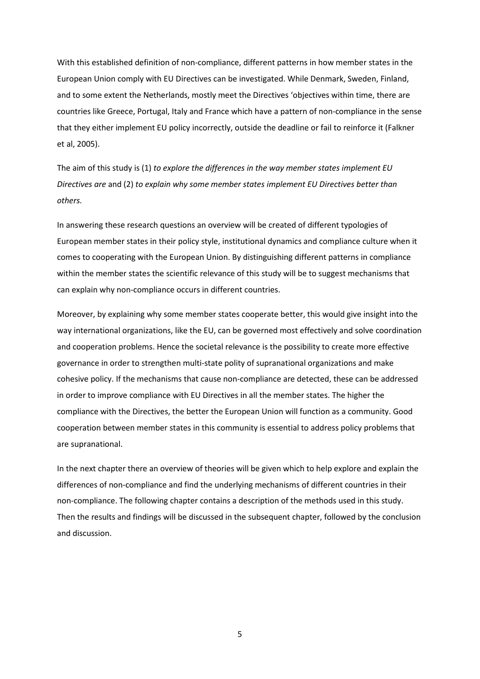With this established definition of non-compliance, different patterns in how member states in the European Union comply with EU Directives can be investigated. While Denmark, Sweden, Finland, and to some extent the Netherlands, mostly meet the Directives 'objectives within time, there are countries like Greece, Portugal, Italy and France which have a pattern of non-compliance in the sense that they either implement EU policy incorrectly, outside the deadline or fail to reinforce it (Falkner et al, 2005).

The aim of this study is (1) to explore the differences in the way member states implement EU Directives are and (2) to explain why some member states implement EU Directives better than others.

In answering these research questions an overview will be created of different typologies of European member states in their policy style, institutional dynamics and compliance culture when it comes to cooperating with the European Union. By distinguishing different patterns in compliance within the member states the scientific relevance of this study will be to suggest mechanisms that can explain why non-compliance occurs in different countries.

Moreover, by explaining why some member states cooperate better, this would give insight into the way international organizations, like the EU, can be governed most effectively and solve coordination and cooperation problems. Hence the societal relevance is the possibility to create more effective governance in order to strengthen multi-state polity of supranational organizations and make cohesive policy. If the mechanisms that cause non-compliance are detected, these can be addressed in order to improve compliance with EU Directives in all the member states. The higher the compliance with the Directives, the better the European Union will function as a community. Good cooperation between member states in this community is essential to address policy problems that are supranational.

In the next chapter there an overview of theories will be given which to help explore and explain the differences of non-compliance and find the underlying mechanisms of different countries in their non-compliance. The following chapter contains a description of the methods used in this study. Then the results and findings will be discussed in the subsequent chapter, followed by the conclusion and discussion.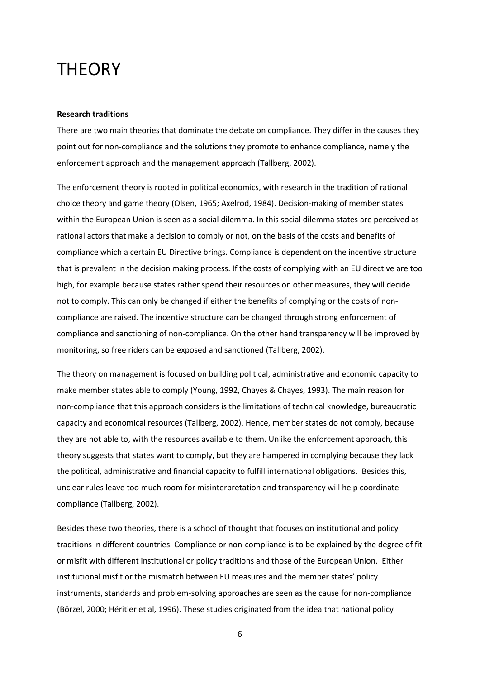### **THEORY**

#### Research traditions

There are two main theories that dominate the debate on compliance. They differ in the causes they point out for non-compliance and the solutions they promote to enhance compliance, namely the enforcement approach and the management approach (Tallberg, 2002).

The enforcement theory is rooted in political economics, with research in the tradition of rational choice theory and game theory (Olsen, 1965; Axelrod, 1984). Decision-making of member states within the European Union is seen as a social dilemma. In this social dilemma states are perceived as rational actors that make a decision to comply or not, on the basis of the costs and benefits of compliance which a certain EU Directive brings. Compliance is dependent on the incentive structure that is prevalent in the decision making process. If the costs of complying with an EU directive are too high, for example because states rather spend their resources on other measures, they will decide not to comply. This can only be changed if either the benefits of complying or the costs of noncompliance are raised. The incentive structure can be changed through strong enforcement of compliance and sanctioning of non-compliance. On the other hand transparency will be improved by monitoring, so free riders can be exposed and sanctioned (Tallberg, 2002).

The theory on management is focused on building political, administrative and economic capacity to make member states able to comply (Young, 1992, Chayes & Chayes, 1993). The main reason for non-compliance that this approach considers is the limitations of technical knowledge, bureaucratic capacity and economical resources (Tallberg, 2002). Hence, member states do not comply, because they are not able to, with the resources available to them. Unlike the enforcement approach, this theory suggests that states want to comply, but they are hampered in complying because they lack the political, administrative and financial capacity to fulfill international obligations. Besides this, unclear rules leave too much room for misinterpretation and transparency will help coordinate compliance (Tallberg, 2002).

Besides these two theories, there is a school of thought that focuses on institutional and policy traditions in different countries. Compliance or non-compliance is to be explained by the degree of fit or misfit with different institutional or policy traditions and those of the European Union. Either institutional misfit or the mismatch between EU measures and the member states' policy instruments, standards and problem-solving approaches are seen as the cause for non-compliance (Börzel, 2000; Héritier et al, 1996). These studies originated from the idea that national policy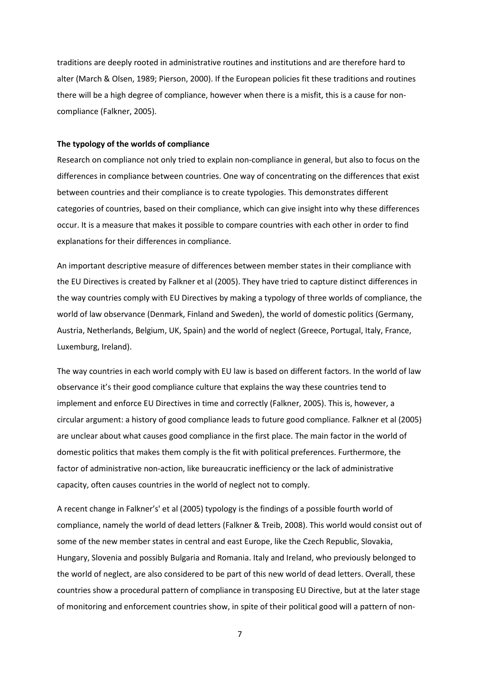traditions are deeply rooted in administrative routines and institutions and are therefore hard to alter (March & Olsen, 1989; Pierson, 2000). If the European policies fit these traditions and routines there will be a high degree of compliance, however when there is a misfit, this is a cause for noncompliance (Falkner, 2005).

#### The typology of the worlds of compliance

Research on compliance not only tried to explain non-compliance in general, but also to focus on the differences in compliance between countries. One way of concentrating on the differences that exist between countries and their compliance is to create typologies. This demonstrates different categories of countries, based on their compliance, which can give insight into why these differences occur. It is a measure that makes it possible to compare countries with each other in order to find explanations for their differences in compliance.

An important descriptive measure of differences between member states in their compliance with the EU Directives is created by Falkner et al (2005). They have tried to capture distinct differences in the way countries comply with EU Directives by making a typology of three worlds of compliance, the world of law observance (Denmark, Finland and Sweden), the world of domestic politics (Germany, Austria, Netherlands, Belgium, UK, Spain) and the world of neglect (Greece, Portugal, Italy, France, Luxemburg, Ireland).

The way countries in each world comply with EU law is based on different factors. In the world of law observance it's their good compliance culture that explains the way these countries tend to implement and enforce EU Directives in time and correctly (Falkner, 2005). This is, however, a circular argument: a history of good compliance leads to future good compliance. Falkner et al (2005) are unclear about what causes good compliance in the first place. The main factor in the world of domestic politics that makes them comply is the fit with political preferences. Furthermore, the factor of administrative non-action, like bureaucratic inefficiency or the lack of administrative capacity, often causes countries in the world of neglect not to comply.

A recent change in Falkner's' et al (2005) typology is the findings of a possible fourth world of compliance, namely the world of dead letters (Falkner & Treib, 2008). This world would consist out of some of the new member states in central and east Europe, like the Czech Republic, Slovakia, Hungary, Slovenia and possibly Bulgaria and Romania. Italy and Ireland, who previously belonged to the world of neglect, are also considered to be part of this new world of dead letters. Overall, these countries show a procedural pattern of compliance in transposing EU Directive, but at the later stage of monitoring and enforcement countries show, in spite of their political good will a pattern of non-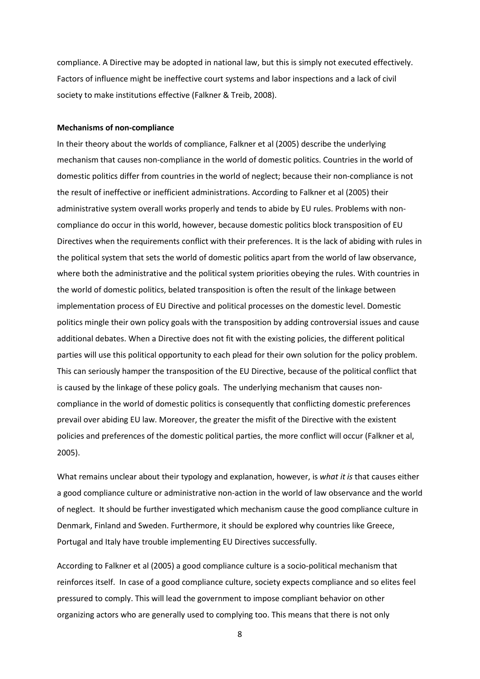compliance. A Directive may be adopted in national law, but this is simply not executed effectively. Factors of influence might be ineffective court systems and labor inspections and a lack of civil society to make institutions effective (Falkner & Treib, 2008).

#### Mechanisms of non-compliance

In their theory about the worlds of compliance, Falkner et al (2005) describe the underlying mechanism that causes non-compliance in the world of domestic politics. Countries in the world of domestic politics differ from countries in the world of neglect; because their non-compliance is not the result of ineffective or inefficient administrations. According to Falkner et al (2005) their administrative system overall works properly and tends to abide by EU rules. Problems with noncompliance do occur in this world, however, because domestic politics block transposition of EU Directives when the requirements conflict with their preferences. It is the lack of abiding with rules in the political system that sets the world of domestic politics apart from the world of law observance, where both the administrative and the political system priorities obeying the rules. With countries in the world of domestic politics, belated transposition is often the result of the linkage between implementation process of EU Directive and political processes on the domestic level. Domestic politics mingle their own policy goals with the transposition by adding controversial issues and cause additional debates. When a Directive does not fit with the existing policies, the different political parties will use this political opportunity to each plead for their own solution for the policy problem. This can seriously hamper the transposition of the EU Directive, because of the political conflict that is caused by the linkage of these policy goals. The underlying mechanism that causes noncompliance in the world of domestic politics is consequently that conflicting domestic preferences prevail over abiding EU law. Moreover, the greater the misfit of the Directive with the existent policies and preferences of the domestic political parties, the more conflict will occur (Falkner et al, 2005).

What remains unclear about their typology and explanation, however, is what it is that causes either a good compliance culture or administrative non-action in the world of law observance and the world of neglect. It should be further investigated which mechanism cause the good compliance culture in Denmark, Finland and Sweden. Furthermore, it should be explored why countries like Greece, Portugal and Italy have trouble implementing EU Directives successfully.

According to Falkner et al (2005) a good compliance culture is a socio-political mechanism that reinforces itself. In case of a good compliance culture, society expects compliance and so elites feel pressured to comply. This will lead the government to impose compliant behavior on other organizing actors who are generally used to complying too. This means that there is not only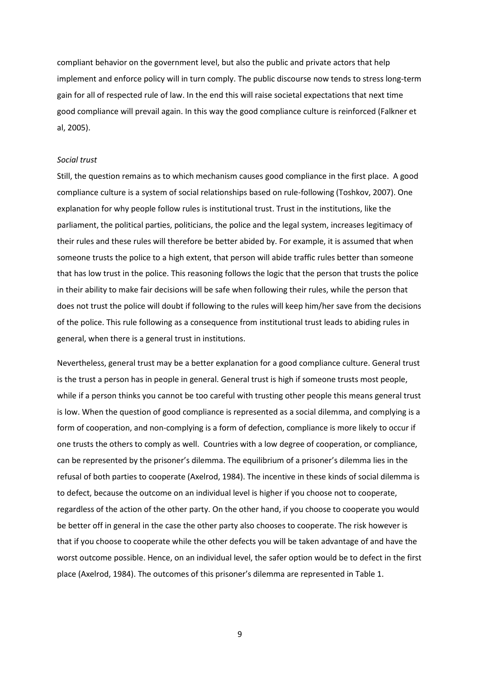compliant behavior on the government level, but also the public and private actors that help implement and enforce policy will in turn comply. The public discourse now tends to stress long-term gain for all of respected rule of law. In the end this will raise societal expectations that next time good compliance will prevail again. In this way the good compliance culture is reinforced (Falkner et al, 2005).

#### Social trust

Still, the question remains as to which mechanism causes good compliance in the first place. A good compliance culture is a system of social relationships based on rule-following (Toshkov, 2007). One explanation for why people follow rules is institutional trust. Trust in the institutions, like the parliament, the political parties, politicians, the police and the legal system, increases legitimacy of their rules and these rules will therefore be better abided by. For example, it is assumed that when someone trusts the police to a high extent, that person will abide traffic rules better than someone that has low trust in the police. This reasoning follows the logic that the person that trusts the police in their ability to make fair decisions will be safe when following their rules, while the person that does not trust the police will doubt if following to the rules will keep him/her save from the decisions of the police. This rule following as a consequence from institutional trust leads to abiding rules in general, when there is a general trust in institutions.

Nevertheless, general trust may be a better explanation for a good compliance culture. General trust is the trust a person has in people in general. General trust is high if someone trusts most people, while if a person thinks you cannot be too careful with trusting other people this means general trust is low. When the question of good compliance is represented as a social dilemma, and complying is a form of cooperation, and non-complying is a form of defection, compliance is more likely to occur if one trusts the others to comply as well. Countries with a low degree of cooperation, or compliance, can be represented by the prisoner's dilemma. The equilibrium of a prisoner's dilemma lies in the refusal of both parties to cooperate (Axelrod, 1984). The incentive in these kinds of social dilemma is to defect, because the outcome on an individual level is higher if you choose not to cooperate, regardless of the action of the other party. On the other hand, if you choose to cooperate you would be better off in general in the case the other party also chooses to cooperate. The risk however is that if you choose to cooperate while the other defects you will be taken advantage of and have the worst outcome possible. Hence, on an individual level, the safer option would be to defect in the first place (Axelrod, 1984). The outcomes of this prisoner's dilemma are represented in Table 1.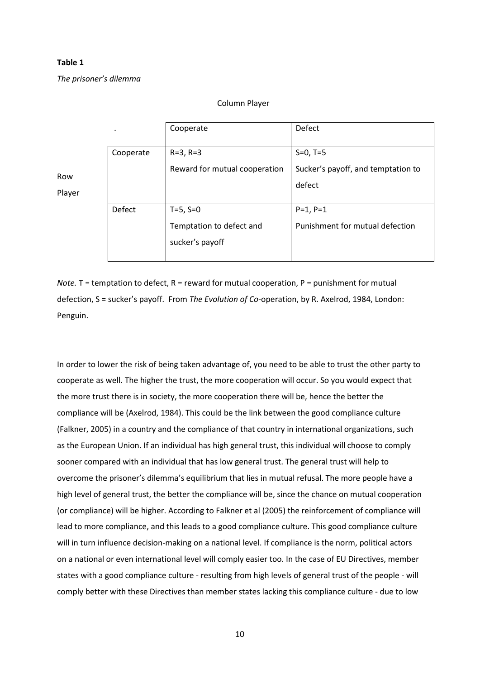#### Table 1

The prisoner's dilemma

#### Column Player

|        | $\cdot$   | Cooperate                     | Defect                             |
|--------|-----------|-------------------------------|------------------------------------|
|        | Cooperate | $R = 3, R = 3$                | $S=0, T=5$                         |
| Row    |           | Reward for mutual cooperation | Sucker's payoff, and temptation to |
| Player |           |                               | defect                             |
|        | Defect    | $T=5, S=0$                    | $P=1, P=1$                         |
|        |           | Temptation to defect and      | Punishment for mutual defection    |
|        |           | sucker's payoff               |                                    |
|        |           |                               |                                    |

Note. T = temptation to defect, R = reward for mutual cooperation, P = punishment for mutual defection, S = sucker's payoff. From The Evolution of Co-operation, by R. Axelrod, 1984, London: Penguin.

In order to lower the risk of being taken advantage of, you need to be able to trust the other party to cooperate as well. The higher the trust, the more cooperation will occur. So you would expect that the more trust there is in society, the more cooperation there will be, hence the better the compliance will be (Axelrod, 1984). This could be the link between the good compliance culture (Falkner, 2005) in a country and the compliance of that country in international organizations, such as the European Union. If an individual has high general trust, this individual will choose to comply sooner compared with an individual that has low general trust. The general trust will help to overcome the prisoner's dilemma's equilibrium that lies in mutual refusal. The more people have a high level of general trust, the better the compliance will be, since the chance on mutual cooperation (or compliance) will be higher. According to Falkner et al (2005) the reinforcement of compliance will lead to more compliance, and this leads to a good compliance culture. This good compliance culture will in turn influence decision-making on a national level. If compliance is the norm, political actors on a national or even international level will comply easier too. In the case of EU Directives, member states with a good compliance culture - resulting from high levels of general trust of the people - will comply better with these Directives than member states lacking this compliance culture - due to low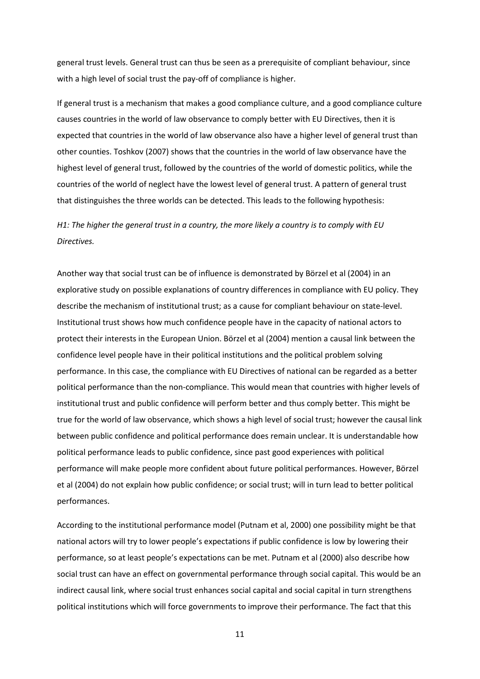general trust levels. General trust can thus be seen as a prerequisite of compliant behaviour, since with a high level of social trust the pay-off of compliance is higher.

If general trust is a mechanism that makes a good compliance culture, and a good compliance culture causes countries in the world of law observance to comply better with EU Directives, then it is expected that countries in the world of law observance also have a higher level of general trust than other counties. Toshkov (2007) shows that the countries in the world of law observance have the highest level of general trust, followed by the countries of the world of domestic politics, while the countries of the world of neglect have the lowest level of general trust. A pattern of general trust that distinguishes the three worlds can be detected. This leads to the following hypothesis:

### H1: The higher the general trust in a country, the more likely a country is to comply with EU Directives.

Another way that social trust can be of influence is demonstrated by Börzel et al (2004) in an explorative study on possible explanations of country differences in compliance with EU policy. They describe the mechanism of institutional trust; as a cause for compliant behaviour on state-level. Institutional trust shows how much confidence people have in the capacity of national actors to protect their interests in the European Union. Börzel et al (2004) mention a causal link between the confidence level people have in their political institutions and the political problem solving performance. In this case, the compliance with EU Directives of national can be regarded as a better political performance than the non-compliance. This would mean that countries with higher levels of institutional trust and public confidence will perform better and thus comply better. This might be true for the world of law observance, which shows a high level of social trust; however the causal link between public confidence and political performance does remain unclear. It is understandable how political performance leads to public confidence, since past good experiences with political performance will make people more confident about future political performances. However, Börzel et al (2004) do not explain how public confidence; or social trust; will in turn lead to better political performances.

According to the institutional performance model (Putnam et al, 2000) one possibility might be that national actors will try to lower people's expectations if public confidence is low by lowering their performance, so at least people's expectations can be met. Putnam et al (2000) also describe how social trust can have an effect on governmental performance through social capital. This would be an indirect causal link, where social trust enhances social capital and social capital in turn strengthens political institutions which will force governments to improve their performance. The fact that this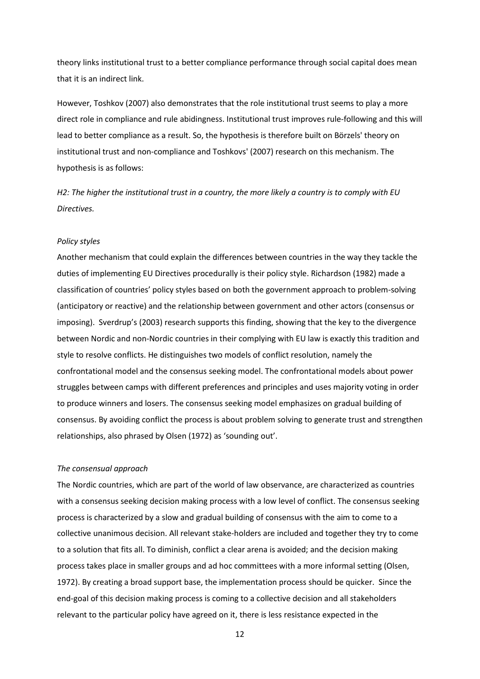theory links institutional trust to a better compliance performance through social capital does mean that it is an indirect link.

However, Toshkov (2007) also demonstrates that the role institutional trust seems to play a more direct role in compliance and rule abidingness. Institutional trust improves rule-following and this will lead to better compliance as a result. So, the hypothesis is therefore built on Börzels' theory on institutional trust and non-compliance and Toshkovs' (2007) research on this mechanism. The hypothesis is as follows:

H2: The higher the institutional trust in a country, the more likely a country is to comply with EU Directives.

#### Policy styles

Another mechanism that could explain the differences between countries in the way they tackle the duties of implementing EU Directives procedurally is their policy style. Richardson (1982) made a classification of countries' policy styles based on both the government approach to problem-solving (anticipatory or reactive) and the relationship between government and other actors (consensus or imposing). Sverdrup's (2003) research supports this finding, showing that the key to the divergence between Nordic and non-Nordic countries in their complying with EU law is exactly this tradition and style to resolve conflicts. He distinguishes two models of conflict resolution, namely the confrontational model and the consensus seeking model. The confrontational models about power struggles between camps with different preferences and principles and uses majority voting in order to produce winners and losers. The consensus seeking model emphasizes on gradual building of consensus. By avoiding conflict the process is about problem solving to generate trust and strengthen relationships, also phrased by Olsen (1972) as 'sounding out'.

#### The consensual approach

The Nordic countries, which are part of the world of law observance, are characterized as countries with a consensus seeking decision making process with a low level of conflict. The consensus seeking process is characterized by a slow and gradual building of consensus with the aim to come to a collective unanimous decision. All relevant stake-holders are included and together they try to come to a solution that fits all. To diminish, conflict a clear arena is avoided; and the decision making process takes place in smaller groups and ad hoc committees with a more informal setting (Olsen, 1972). By creating a broad support base, the implementation process should be quicker. Since the end-goal of this decision making process is coming to a collective decision and all stakeholders relevant to the particular policy have agreed on it, there is less resistance expected in the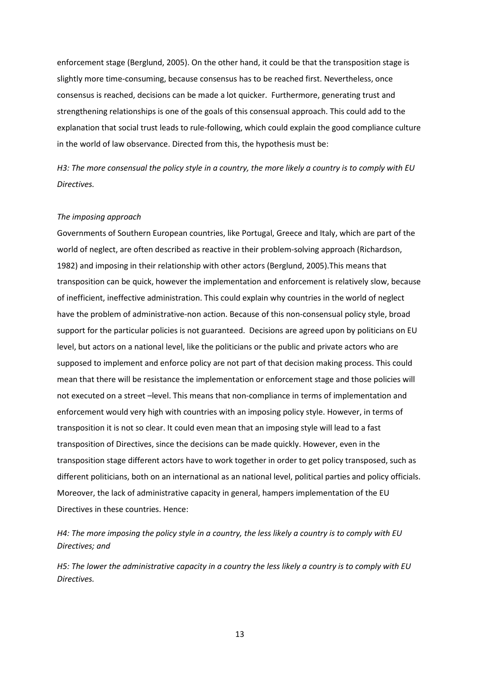enforcement stage (Berglund, 2005). On the other hand, it could be that the transposition stage is slightly more time-consuming, because consensus has to be reached first. Nevertheless, once consensus is reached, decisions can be made a lot quicker. Furthermore, generating trust and strengthening relationships is one of the goals of this consensual approach. This could add to the explanation that social trust leads to rule-following, which could explain the good compliance culture in the world of law observance. Directed from this, the hypothesis must be:

H3: The more consensual the policy style in a country, the more likely a country is to comply with EU Directives.

#### The imposing approach

Governments of Southern European countries, like Portugal, Greece and Italy, which are part of the world of neglect, are often described as reactive in their problem-solving approach (Richardson, 1982) and imposing in their relationship with other actors (Berglund, 2005).This means that transposition can be quick, however the implementation and enforcement is relatively slow, because of inefficient, ineffective administration. This could explain why countries in the world of neglect have the problem of administrative-non action. Because of this non-consensual policy style, broad support for the particular policies is not guaranteed. Decisions are agreed upon by politicians on EU level, but actors on a national level, like the politicians or the public and private actors who are supposed to implement and enforce policy are not part of that decision making process. This could mean that there will be resistance the implementation or enforcement stage and those policies will not executed on a street –level. This means that non-compliance in terms of implementation and enforcement would very high with countries with an imposing policy style. However, in terms of transposition it is not so clear. It could even mean that an imposing style will lead to a fast transposition of Directives, since the decisions can be made quickly. However, even in the transposition stage different actors have to work together in order to get policy transposed, such as different politicians, both on an international as an national level, political parties and policy officials. Moreover, the lack of administrative capacity in general, hampers implementation of the EU Directives in these countries. Hence:

H4: The more imposing the policy style in a country, the less likely a country is to comply with EU Directives; and

H5: The lower the administrative capacity in a country the less likely a country is to comply with EU Directives.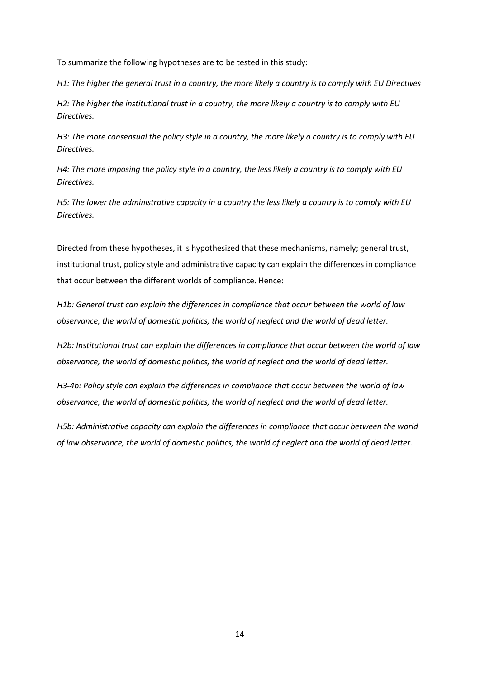To summarize the following hypotheses are to be tested in this study:

H1: The higher the general trust in a country, the more likely a country is to comply with EU Directives

H2: The higher the institutional trust in a country, the more likely a country is to comply with EU Directives.

H3: The more consensual the policy style in a country, the more likely a country is to comply with EU Directives.

H4: The more imposing the policy style in a country, the less likely a country is to comply with EU Directives.

H5: The lower the administrative capacity in a country the less likely a country is to comply with EU Directives.

Directed from these hypotheses, it is hypothesized that these mechanisms, namely; general trust, institutional trust, policy style and administrative capacity can explain the differences in compliance that occur between the different worlds of compliance. Hence:

H1b: General trust can explain the differences in compliance that occur between the world of law observance, the world of domestic politics, the world of neglect and the world of dead letter.

H2b: Institutional trust can explain the differences in compliance that occur between the world of law observance, the world of domestic politics, the world of neglect and the world of dead letter.

H3-4b: Policy style can explain the differences in compliance that occur between the world of law observance, the world of domestic politics, the world of neglect and the world of dead letter.

H5b: Administrative capacity can explain the differences in compliance that occur between the world of law observance, the world of domestic politics, the world of neglect and the world of dead letter.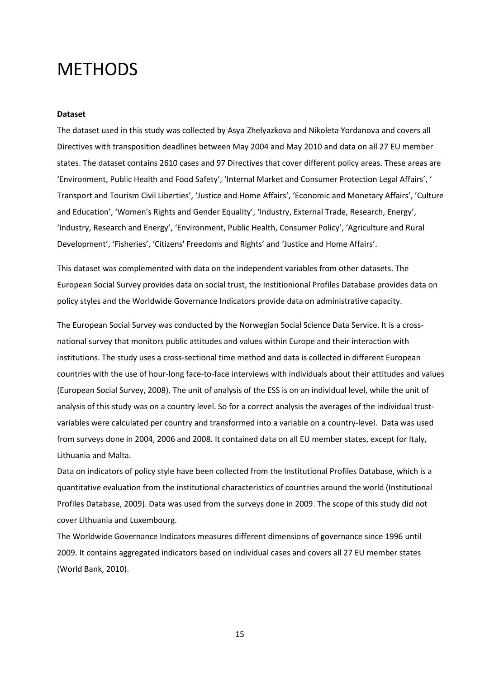### **METHODS**

#### Dataset

The dataset used in this study was collected by Asya Zhelyazkova and Nikoleta Yordanova and covers all Directives with transposition deadlines between May 2004 and May 2010 and data on all 27 EU member states. The dataset contains 2610 cases and 97 Directives that cover different policy areas. These areas are 'Environment, Public Health and Food Safety', 'Internal Market and Consumer Protection Legal Affairs', ' Transport and Tourism Civil Liberties', 'Justice and Home Affairs', 'Economic and Monetary Affairs', 'Culture and Education', 'Women's Rights and Gender Equality', 'Industry, External Trade, Research, Energy', 'Industry, Research and Energy', 'Environment, Public Health, Consumer Policy', 'Agriculture and Rural Development', 'Fisheries', 'Citizens' Freedoms and Rights' and 'Justice and Home Affairs'.

This dataset was complemented with data on the independent variables from other datasets. The European Social Survey provides data on social trust, the Institionional Profiles Database provides data on policy styles and the Worldwide Governance Indicators provide data on administrative capacity.

The European Social Survey was conducted by the Norwegian Social Science Data Service. It is a crossnational survey that monitors public attitudes and values within Europe and their interaction with institutions. The study uses a cross-sectional time method and data is collected in different European countries with the use of hour-long face-to-face interviews with individuals about their attitudes and values (European Social Survey, 2008). The unit of analysis of the ESS is on an individual level, while the unit of analysis of this study was on a country level. So for a correct analysis the averages of the individual trustvariables were calculated per country and transformed into a variable on a country-level. Data was used from surveys done in 2004, 2006 and 2008. It contained data on all EU member states, except for Italy, Lithuania and Malta.

Data on indicators of policy style have been collected from the Institutional Profiles Database, which is a quantitative evaluation from the institutional characteristics of countries around the world (Institutional Profiles Database, 2009). Data was used from the surveys done in 2009. The scope of this study did not cover Lithuania and Luxembourg.

The Worldwide Governance Indicators measures different dimensions of governance since 1996 until 2009. It contains aggregated indicators based on individual cases and covers all 27 EU member states (World Bank, 2010).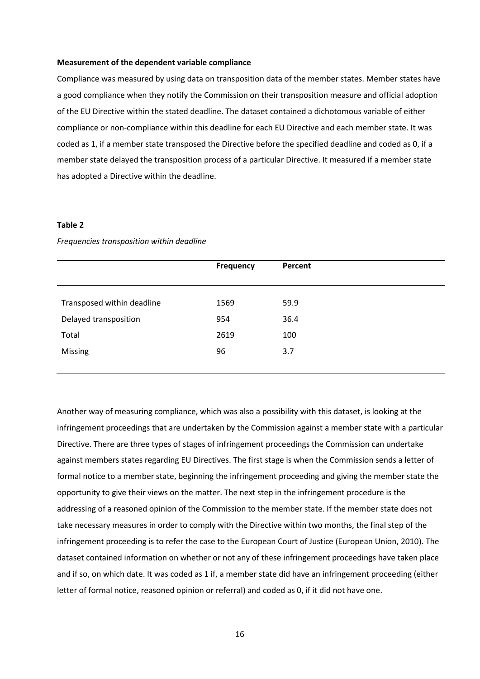#### Measurement of the dependent variable compliance

Compliance was measured by using data on transposition data of the member states. Member states have a good compliance when they notify the Commission on their transposition measure and official adoption of the EU Directive within the stated deadline. The dataset contained a dichotomous variable of either compliance or non-compliance within this deadline for each EU Directive and each member state. It was coded as 1, if a member state transposed the Directive before the specified deadline and coded as 0, if a member state delayed the transposition process of a particular Directive. It measured if a member state has adopted a Directive within the deadline.

#### Table 2

|                            | Frequency | Percent |  |
|----------------------------|-----------|---------|--|
|                            |           |         |  |
|                            |           |         |  |
| Transposed within deadline | 1569      | 59.9    |  |
| Delayed transposition      | 954       | 36.4    |  |
| Total                      | 2619      | 100     |  |
| Missing                    | 96        | 3.7     |  |
|                            |           |         |  |

Frequencies transposition within deadline

Another way of measuring compliance, which was also a possibility with this dataset, is looking at the infringement proceedings that are undertaken by the Commission against a member state with a particular Directive. There are three types of stages of infringement proceedings the Commission can undertake against members states regarding EU Directives. The first stage is when the Commission sends a letter of formal notice to a member state, beginning the infringement proceeding and giving the member state the opportunity to give their views on the matter. The next step in the infringement procedure is the addressing of a reasoned opinion of the Commission to the member state. If the member state does not take necessary measures in order to comply with the Directive within two months, the final step of the infringement proceeding is to refer the case to the European Court of Justice (European Union, 2010). The dataset contained information on whether or not any of these infringement proceedings have taken place and if so, on which date. It was coded as 1 if, a member state did have an infringement proceeding (either letter of formal notice, reasoned opinion or referral) and coded as 0, if it did not have one.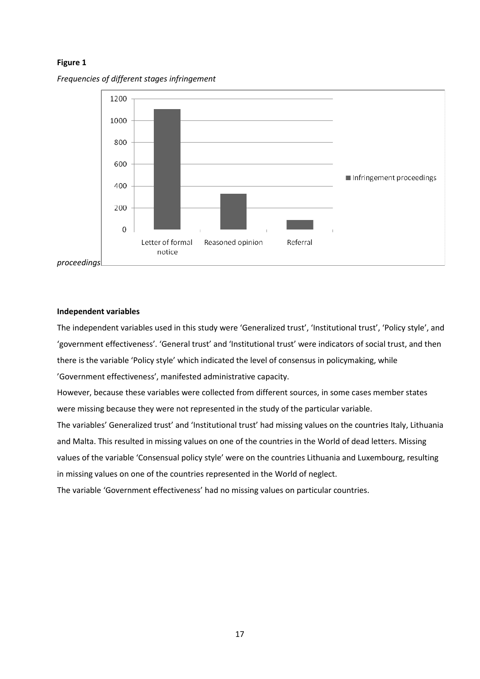#### Figure 1





#### Independent variables

The independent variables used in this study were 'Generalized trust', 'Institutional trust', 'Policy style', and 'government effectiveness'. 'General trust' and 'Institutional trust' were indicators of social trust, and then there is the variable 'Policy style' which indicated the level of consensus in policymaking, while 'Government effectiveness', manifested administrative capacity.

However, because these variables were collected from different sources, in some cases member states were missing because they were not represented in the study of the particular variable.

The variables' Generalized trust' and 'Institutional trust' had missing values on the countries Italy, Lithuania and Malta. This resulted in missing values on one of the countries in the World of dead letters. Missing values of the variable 'Consensual policy style' were on the countries Lithuania and Luxembourg, resulting in missing values on one of the countries represented in the World of neglect.

The variable 'Government effectiveness' had no missing values on particular countries.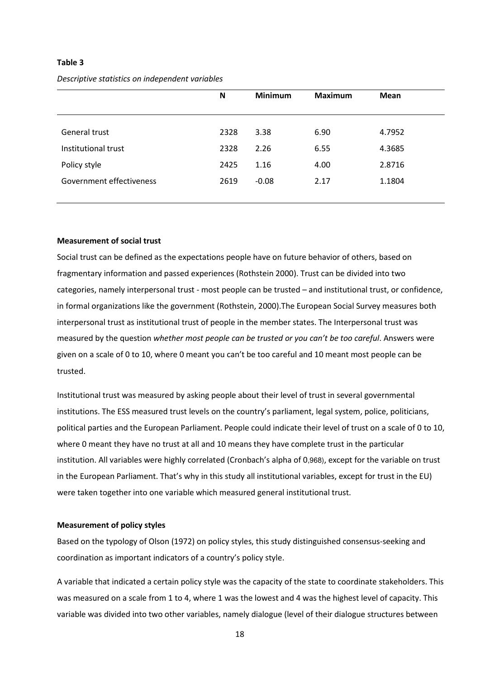#### Table 3

|                          | N    | <b>Minimum</b> | <b>Maximum</b> | <b>Mean</b> |
|--------------------------|------|----------------|----------------|-------------|
| General trust            | 2328 | 3.38           | 6.90           | 4.7952      |
| Institutional trust      | 2328 | 2.26           | 6.55           | 4.3685      |
| Policy style             | 2425 | 1.16           | 4.00           | 2.8716      |
| Government effectiveness | 2619 | $-0.08$        | 2.17           | 1.1804      |

Descriptive statistics on independent variables

#### Measurement of social trust

Social trust can be defined as the expectations people have on future behavior of others, based on fragmentary information and passed experiences (Rothstein 2000). Trust can be divided into two categories, namely interpersonal trust - most people can be trusted – and institutional trust, or confidence, in formal organizations like the government (Rothstein, 2000).The European Social Survey measures both interpersonal trust as institutional trust of people in the member states. The Interpersonal trust was measured by the question whether most people can be trusted or you can't be too careful. Answers were given on a scale of 0 to 10, where 0 meant you can't be too careful and 10 meant most people can be trusted.

Institutional trust was measured by asking people about their level of trust in several governmental institutions. The ESS measured trust levels on the country's parliament, legal system, police, politicians, political parties and the European Parliament. People could indicate their level of trust on a scale of 0 to 10, where 0 meant they have no trust at all and 10 means they have complete trust in the particular institution. All variables were highly correlated (Cronbach's alpha of 0,968), except for the variable on trust in the European Parliament. That's why in this study all institutional variables, except for trust in the EU) were taken together into one variable which measured general institutional trust.

#### Measurement of policy styles

Based on the typology of Olson (1972) on policy styles, this study distinguished consensus-seeking and coordination as important indicators of a country's policy style.

A variable that indicated a certain policy style was the capacity of the state to coordinate stakeholders. This was measured on a scale from 1 to 4, where 1 was the lowest and 4 was the highest level of capacity. This variable was divided into two other variables, namely dialogue (level of their dialogue structures between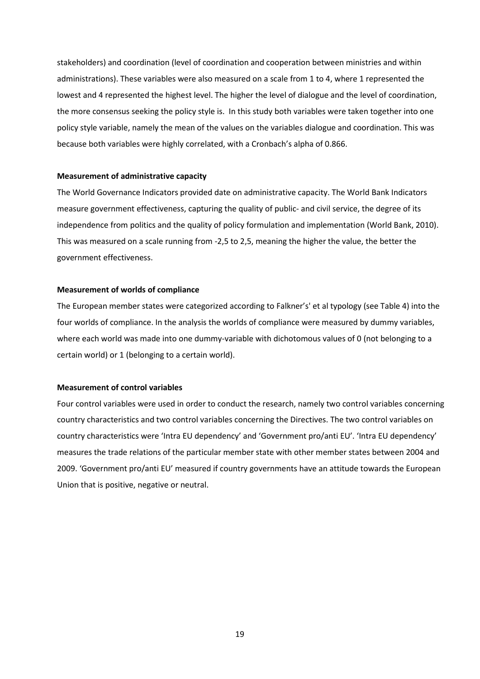stakeholders) and coordination (level of coordination and cooperation between ministries and within administrations). These variables were also measured on a scale from 1 to 4, where 1 represented the lowest and 4 represented the highest level. The higher the level of dialogue and the level of coordination, the more consensus seeking the policy style is. In this study both variables were taken together into one policy style variable, namely the mean of the values on the variables dialogue and coordination. This was because both variables were highly correlated, with a Cronbach's alpha of 0.866.

#### Measurement of administrative capacity

The World Governance Indicators provided date on administrative capacity. The World Bank Indicators measure government effectiveness, capturing the quality of public- and civil service, the degree of its independence from politics and the quality of policy formulation and implementation (World Bank, 2010). This was measured on a scale running from -2,5 to 2,5, meaning the higher the value, the better the government effectiveness.

#### Measurement of worlds of compliance

The European member states were categorized according to Falkner's' et al typology (see Table 4) into the four worlds of compliance. In the analysis the worlds of compliance were measured by dummy variables, where each world was made into one dummy-variable with dichotomous values of 0 (not belonging to a certain world) or 1 (belonging to a certain world).

#### Measurement of control variables

Four control variables were used in order to conduct the research, namely two control variables concerning country characteristics and two control variables concerning the Directives. The two control variables on country characteristics were 'Intra EU dependency' and 'Government pro/anti EU'. 'Intra EU dependency' measures the trade relations of the particular member state with other member states between 2004 and 2009. 'Government pro/anti EU' measured if country governments have an attitude towards the European Union that is positive, negative or neutral.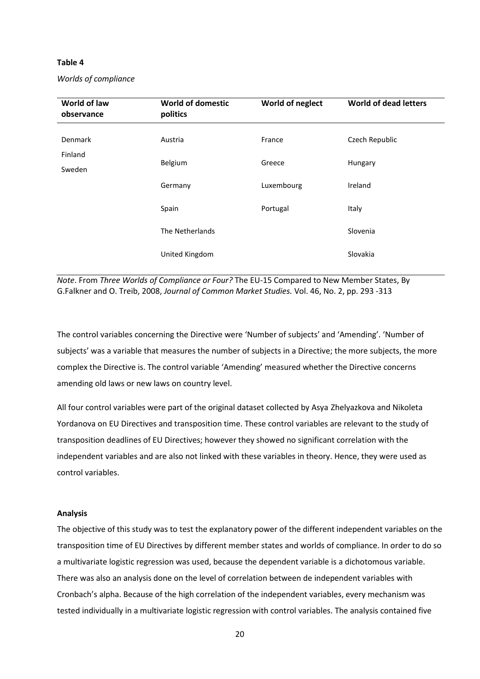#### Table 4

| World of law<br>observance | <b>World of domestic</b><br>politics | World of neglect | <b>World of dead letters</b> |
|----------------------------|--------------------------------------|------------------|------------------------------|
| Denmark                    | Austria                              | France           | Czech Republic               |
| Finland<br>Sweden          | Belgium                              | Greece           | Hungary                      |
|                            | Germany                              | Luxembourg       | Ireland                      |
|                            | Spain                                | Portugal         | Italy                        |
|                            | The Netherlands                      |                  | Slovenia                     |
|                            | United Kingdom                       |                  | Slovakia                     |

Note. From Three Worlds of Compliance or Four? The EU-15 Compared to New Member States, By G.Falkner and O. Treib, 2008, Journal of Common Market Studies. Vol. 46, No. 2, pp. 293 -313

The control variables concerning the Directive were 'Number of subjects' and 'Amending'. 'Number of subjects' was a variable that measures the number of subjects in a Directive; the more subjects, the more complex the Directive is. The control variable 'Amending' measured whether the Directive concerns amending old laws or new laws on country level.

All four control variables were part of the original dataset collected by Asya Zhelyazkova and Nikoleta Yordanova on EU Directives and transposition time. These control variables are relevant to the study of transposition deadlines of EU Directives; however they showed no significant correlation with the independent variables and are also not linked with these variables in theory. Hence, they were used as control variables.

#### Analysis

The objective of this study was to test the explanatory power of the different independent variables on the transposition time of EU Directives by different member states and worlds of compliance. In order to do so a multivariate logistic regression was used, because the dependent variable is a dichotomous variable. There was also an analysis done on the level of correlation between de independent variables with Cronbach's alpha. Because of the high correlation of the independent variables, every mechanism was tested individually in a multivariate logistic regression with control variables. The analysis contained five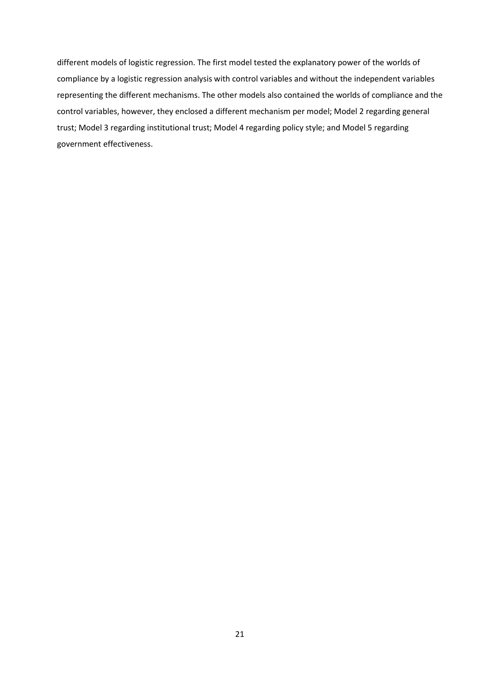different models of logistic regression. The first model tested the explanatory power of the worlds of compliance by a logistic regression analysis with control variables and without the independent variables representing the different mechanisms. The other models also contained the worlds of compliance and the control variables, however, they enclosed a different mechanism per model; Model 2 regarding general trust; Model 3 regarding institutional trust; Model 4 regarding policy style; and Model 5 regarding government effectiveness.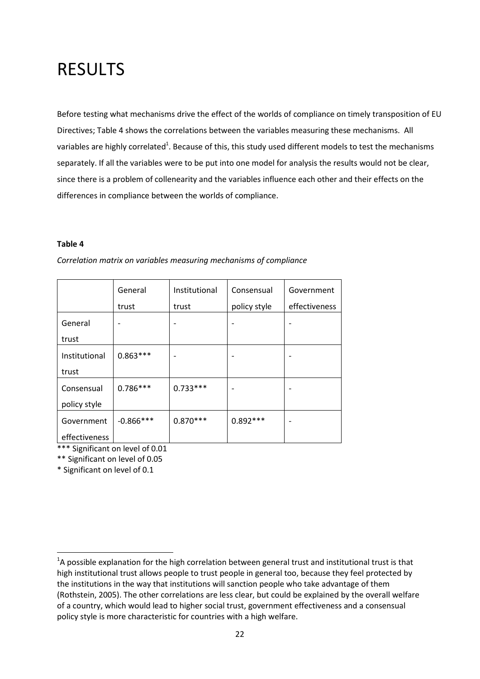# RESULTS

Before testing what mechanisms drive the effect of the worlds of compliance on timely transposition of EU Directives; Table 4 shows the correlations between the variables measuring these mechanisms. All variables are highly correlated<sup>1</sup>. Because of this, this study used different models to test the mechanisms separately. If all the variables were to be put into one model for analysis the results would not be clear, since there is a problem of collenearity and the variables influence each other and their effects on the differences in compliance between the worlds of compliance.

#### Table 4

|               | General      | Institutional | Consensual   | Government    |
|---------------|--------------|---------------|--------------|---------------|
|               | trust        | trust         | policy style | effectiveness |
| General       |              |               |              |               |
| trust         |              |               |              |               |
| Institutional | $0.863***$   |               |              |               |
| trust         |              |               |              |               |
| Consensual    | $0.786***$   | $0.733***$    |              |               |
| policy style  |              |               |              |               |
| Government    | $-0.866$ *** | $0.870***$    | $0.892***$   |               |
| effectiveness |              |               |              |               |

Correlation matrix on variables measuring mechanisms of compliance

\*\*\* Significant on level of 0.01

\*\* Significant on level of 0.05

\* Significant on level of 0.1

l

 $<sup>1</sup>$ A possible explanation for the high correlation between general trust and institutional trust is that</sup> high institutional trust allows people to trust people in general too, because they feel protected by the institutions in the way that institutions will sanction people who take advantage of them (Rothstein, 2005). The other correlations are less clear, but could be explained by the overall welfare of a country, which would lead to higher social trust, government effectiveness and a consensual policy style is more characteristic for countries with a high welfare.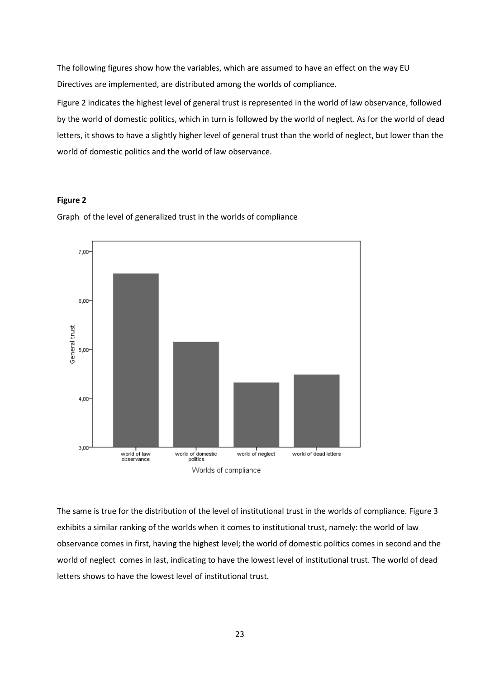The following figures show how the variables, which are assumed to have an effect on the way EU Directives are implemented, are distributed among the worlds of compliance.

Figure 2 indicates the highest level of general trust is represented in the world of law observance, followed by the world of domestic politics, which in turn is followed by the world of neglect. As for the world of dead letters, it shows to have a slightly higher level of general trust than the world of neglect, but lower than the world of domestic politics and the world of law observance.

#### Figure 2



Graph of the level of generalized trust in the worlds of compliance

The same is true for the distribution of the level of institutional trust in the worlds of compliance. Figure 3 exhibits a similar ranking of the worlds when it comes to institutional trust, namely: the world of law observance comes in first, having the highest level; the world of domestic politics comes in second and the world of neglect comes in last, indicating to have the lowest level of institutional trust. The world of dead letters shows to have the lowest level of institutional trust.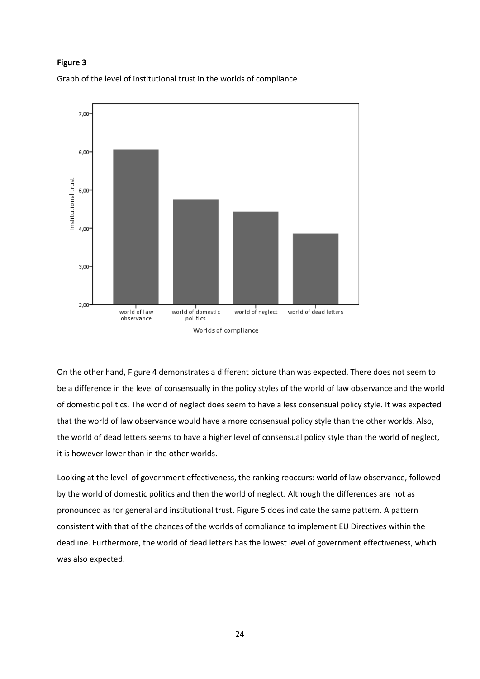#### Figure 3





On the other hand, Figure 4 demonstrates a different picture than was expected. There does not seem to be a difference in the level of consensually in the policy styles of the world of law observance and the world of domestic politics. The world of neglect does seem to have a less consensual policy style. It was expected that the world of law observance would have a more consensual policy style than the other worlds. Also, the world of dead letters seems to have a higher level of consensual policy style than the world of neglect, it is however lower than in the other worlds.

Looking at the level of government effectiveness, the ranking reoccurs: world of law observance, followed by the world of domestic politics and then the world of neglect. Although the differences are not as pronounced as for general and institutional trust, Figure 5 does indicate the same pattern. A pattern consistent with that of the chances of the worlds of compliance to implement EU Directives within the deadline. Furthermore, the world of dead letters has the lowest level of government effectiveness, which was also expected.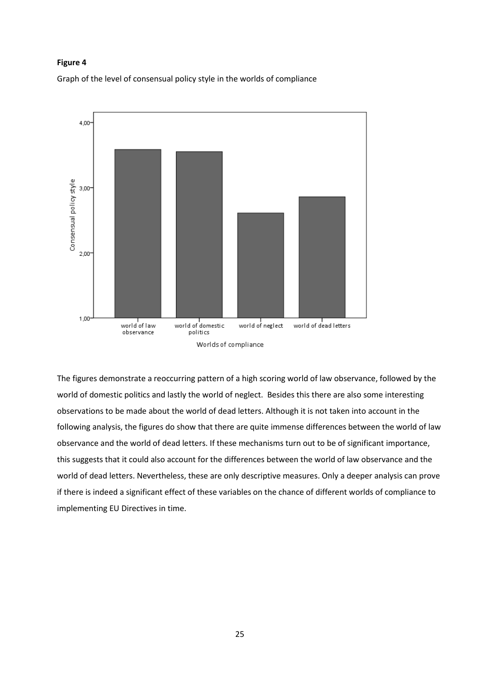#### Figure 4

Graph of the level of consensual policy style in the worlds of compliance



The figures demonstrate a reoccurring pattern of a high scoring world of law observance, followed by the world of domestic politics and lastly the world of neglect. Besides this there are also some interesting observations to be made about the world of dead letters. Although it is not taken into account in the following analysis, the figures do show that there are quite immense differences between the world of law observance and the world of dead letters. If these mechanisms turn out to be of significant importance, this suggests that it could also account for the differences between the world of law observance and the world of dead letters. Nevertheless, these are only descriptive measures. Only a deeper analysis can prove if there is indeed a significant effect of these variables on the chance of different worlds of compliance to implementing EU Directives in time.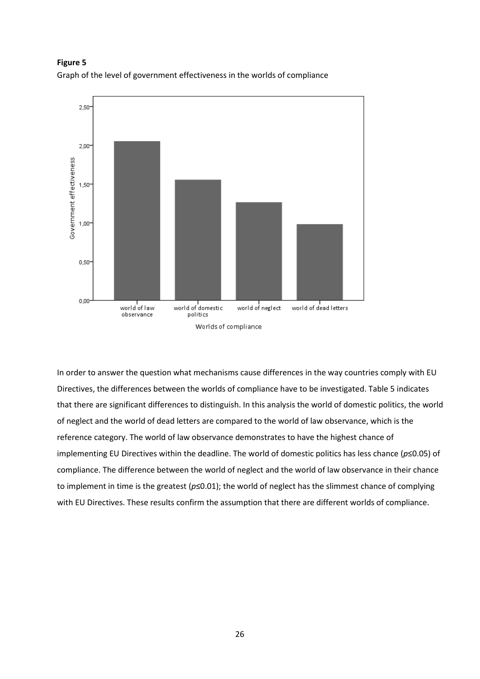Figure 5 Graph of the level of government effectiveness in the worlds of compliance



In order to answer the question what mechanisms cause differences in the way countries comply with EU Directives, the differences between the worlds of compliance have to be investigated. Table 5 indicates that there are significant differences to distinguish. In this analysis the world of domestic politics, the world of neglect and the world of dead letters are compared to the world of law observance, which is the reference category. The world of law observance demonstrates to have the highest chance of implementing EU Directives within the deadline. The world of domestic politics has less chance ( $p \le 0.05$ ) of compliance. The difference between the world of neglect and the world of law observance in their chance to implement in time is the greatest ( $p \le 0.01$ ); the world of neglect has the slimmest chance of complying with EU Directives. These results confirm the assumption that there are different worlds of compliance.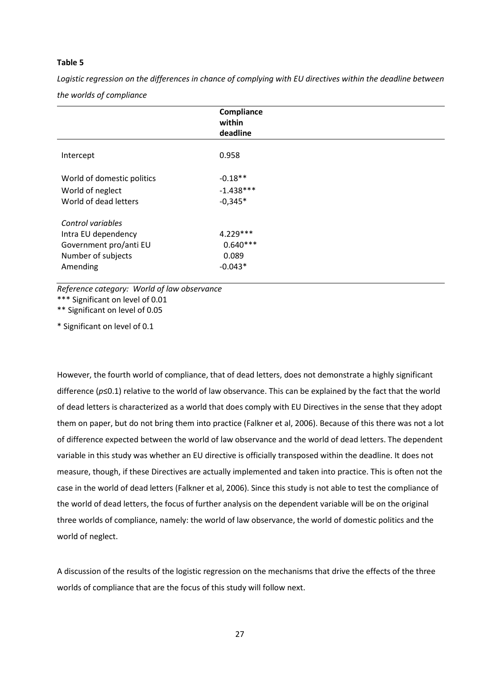#### Table 5

Logistic regression on the differences in chance of complying with EU directives within the deadline between the worlds of compliance

|                                                                                                      | Compliance<br>within<br>deadline               |
|------------------------------------------------------------------------------------------------------|------------------------------------------------|
| Intercept                                                                                            | 0.958                                          |
| World of domestic politics<br>World of neglect<br>World of dead letters                              | $-0.18**$<br>$-1.438***$<br>$-0,345*$          |
| Control variables<br>Intra EU dependency<br>Government pro/anti EU<br>Number of subjects<br>Amending | $4.229***$<br>$0.640***$<br>0.089<br>$-0.043*$ |

Reference category: World of law observance

\*\*\* Significant on level of 0.01

\*\* Significant on level of 0.05

\* Significant on level of 0.1

However, the fourth world of compliance, that of dead letters, does not demonstrate a highly significant difference (p≤0.1) relative to the world of law observance. This can be explained by the fact that the world of dead letters is characterized as a world that does comply with EU Directives in the sense that they adopt them on paper, but do not bring them into practice (Falkner et al, 2006). Because of this there was not a lot of difference expected between the world of law observance and the world of dead letters. The dependent variable in this study was whether an EU directive is officially transposed within the deadline. It does not measure, though, if these Directives are actually implemented and taken into practice. This is often not the case in the world of dead letters (Falkner et al, 2006). Since this study is not able to test the compliance of the world of dead letters, the focus of further analysis on the dependent variable will be on the original three worlds of compliance, namely: the world of law observance, the world of domestic politics and the world of neglect.

A discussion of the results of the logistic regression on the mechanisms that drive the effects of the three worlds of compliance that are the focus of this study will follow next.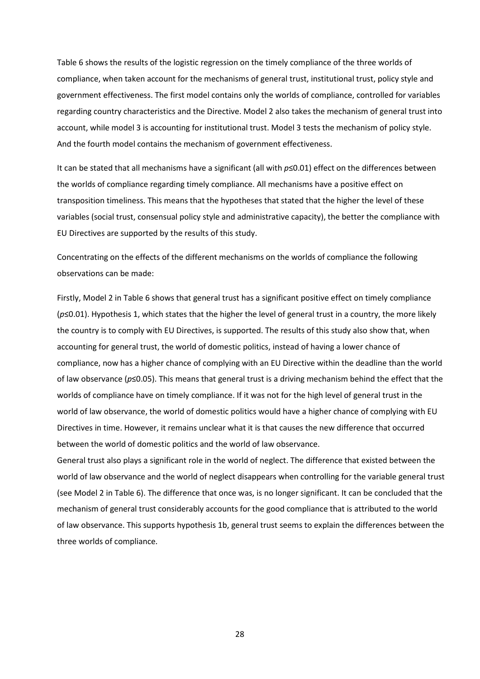Table 6 shows the results of the logistic regression on the timely compliance of the three worlds of compliance, when taken account for the mechanisms of general trust, institutional trust, policy style and government effectiveness. The first model contains only the worlds of compliance, controlled for variables regarding country characteristics and the Directive. Model 2 also takes the mechanism of general trust into account, while model 3 is accounting for institutional trust. Model 3 tests the mechanism of policy style. And the fourth model contains the mechanism of government effectiveness.

It can be stated that all mechanisms have a significant (all with  $p \le 0.01$ ) effect on the differences between the worlds of compliance regarding timely compliance. All mechanisms have a positive effect on transposition timeliness. This means that the hypotheses that stated that the higher the level of these variables (social trust, consensual policy style and administrative capacity), the better the compliance with EU Directives are supported by the results of this study.

Concentrating on the effects of the different mechanisms on the worlds of compliance the following observations can be made:

Firstly, Model 2 in Table 6 shows that general trust has a significant positive effect on timely compliance (p≤0.01). Hypothesis 1, which states that the higher the level of general trust in a country, the more likely the country is to comply with EU Directives, is supported. The results of this study also show that, when accounting for general trust, the world of domestic politics, instead of having a lower chance of compliance, now has a higher chance of complying with an EU Directive within the deadline than the world of law observance ( $p \le 0.05$ ). This means that general trust is a driving mechanism behind the effect that the worlds of compliance have on timely compliance. If it was not for the high level of general trust in the world of law observance, the world of domestic politics would have a higher chance of complying with EU Directives in time. However, it remains unclear what it is that causes the new difference that occurred between the world of domestic politics and the world of law observance.

General trust also plays a significant role in the world of neglect. The difference that existed between the world of law observance and the world of neglect disappears when controlling for the variable general trust (see Model 2 in Table 6). The difference that once was, is no longer significant. It can be concluded that the mechanism of general trust considerably accounts for the good compliance that is attributed to the world of law observance. This supports hypothesis 1b, general trust seems to explain the differences between the three worlds of compliance.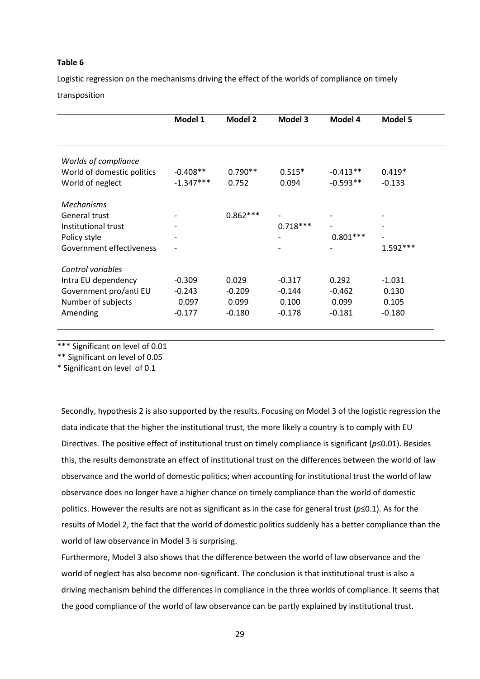#### Table 6

Logistic regression on the mechanisms driving the effect of the worlds of compliance on timely transposition

|                            | Model 1                  | <b>Model 2</b> | Model 3                  | Model 4           | <b>Model 5</b> |
|----------------------------|--------------------------|----------------|--------------------------|-------------------|----------------|
|                            |                          |                |                          |                   |                |
|                            |                          |                |                          |                   |                |
|                            |                          |                |                          |                   |                |
| Worlds of compliance       |                          |                |                          |                   |                |
| World of domestic politics | $-0.408**$               | $0.790**$      | $0.515*$                 | $-0.413**$        | $0.419*$       |
| World of neglect           | $-1.347***$              | 0.752          | 0.094                    | $-0.593**$        | $-0.133$       |
|                            |                          |                |                          |                   |                |
|                            |                          |                |                          |                   |                |
| <b>Mechanisms</b>          |                          |                |                          |                   |                |
| General trust              |                          | $0.862***$     |                          |                   |                |
| Institutional trust        |                          |                | $0.718***$               | $\qquad \qquad -$ |                |
| Policy style               | $\overline{\phantom{a}}$ |                | $\overline{\phantom{a}}$ | $0.801***$        |                |
| Government effectiveness   | $\overline{\phantom{a}}$ |                |                          |                   | $1.592***$     |
|                            |                          |                |                          |                   |                |
| Control variables          |                          |                |                          |                   |                |
| Intra EU dependency        | $-0.309$                 | 0.029          | $-0.317$                 | 0.292             | $-1.031$       |
| Government pro/anti EU     | $-0.243$                 | $-0.209$       | $-0.144$                 | $-0.462$          | 0.130          |
|                            |                          |                |                          |                   |                |
| Number of subjects         | 0.097                    | 0.099          | 0.100                    | 0.099             | 0.105          |
| Amending                   | $-0.177$                 | $-0.180$       | $-0.178$                 | $-0.181$          | $-0.180$       |
|                            |                          |                |                          |                   |                |

\*\*\* Significant on level of 0.01

\*\* Significant on level of 0.05

\* Significant on level of 0.1

Secondly, hypothesis 2 is also supported by the results. Focusing on Model 3 of the logistic regression the data indicate that the higher the institutional trust, the more likely a country is to comply with EU Directives. The positive effect of institutional trust on timely compliance is significant (p≤0.01). Besides this, the results demonstrate an effect of institutional trust on the differences between the world of law observance and the world of domestic politics; when accounting for institutional trust the world of law observance does no longer have a higher chance on timely compliance than the world of domestic politics. However the results are not as significant as in the case for general trust ( $p \le 0.1$ ). As for the results of Model 2, the fact that the world of domestic politics suddenly has a better compliance than the world of law observance in Model 3 is surprising.

Furthermore, Model 3 also shows that the difference between the world of law observance and the world of neglect has also become non-significant. The conclusion is that institutional trust is also a driving mechanism behind the differences in compliance in the three worlds of compliance. It seems that the good compliance of the world of law observance can be partly explained by institutional trust.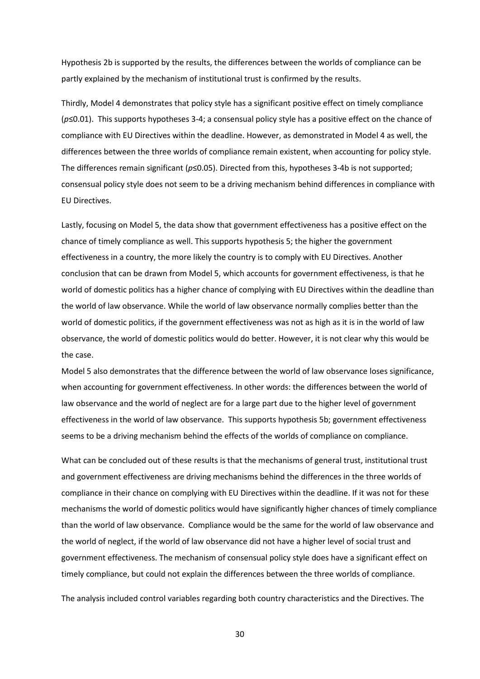Hypothesis 2b is supported by the results, the differences between the worlds of compliance can be partly explained by the mechanism of institutional trust is confirmed by the results.

Thirdly, Model 4 demonstrates that policy style has a significant positive effect on timely compliance (p≤0.01). This supports hypotheses 3-4; a consensual policy style has a positive effect on the chance of compliance with EU Directives within the deadline. However, as demonstrated in Model 4 as well, the differences between the three worlds of compliance remain existent, when accounting for policy style. The differences remain significant (p≤0.05). Directed from this, hypotheses 3-4b is not supported; consensual policy style does not seem to be a driving mechanism behind differences in compliance with EU Directives.

Lastly, focusing on Model 5, the data show that government effectiveness has a positive effect on the chance of timely compliance as well. This supports hypothesis 5; the higher the government effectiveness in a country, the more likely the country is to comply with EU Directives. Another conclusion that can be drawn from Model 5, which accounts for government effectiveness, is that he world of domestic politics has a higher chance of complying with EU Directives within the deadline than the world of law observance. While the world of law observance normally complies better than the world of domestic politics, if the government effectiveness was not as high as it is in the world of law observance, the world of domestic politics would do better. However, it is not clear why this would be the case.

Model 5 also demonstrates that the difference between the world of law observance loses significance, when accounting for government effectiveness. In other words: the differences between the world of law observance and the world of neglect are for a large part due to the higher level of government effectiveness in the world of law observance. This supports hypothesis 5b; government effectiveness seems to be a driving mechanism behind the effects of the worlds of compliance on compliance.

What can be concluded out of these results is that the mechanisms of general trust, institutional trust and government effectiveness are driving mechanisms behind the differences in the three worlds of compliance in their chance on complying with EU Directives within the deadline. If it was not for these mechanisms the world of domestic politics would have significantly higher chances of timely compliance than the world of law observance. Compliance would be the same for the world of law observance and the world of neglect, if the world of law observance did not have a higher level of social trust and government effectiveness. The mechanism of consensual policy style does have a significant effect on timely compliance, but could not explain the differences between the three worlds of compliance.

The analysis included control variables regarding both country characteristics and the Directives. The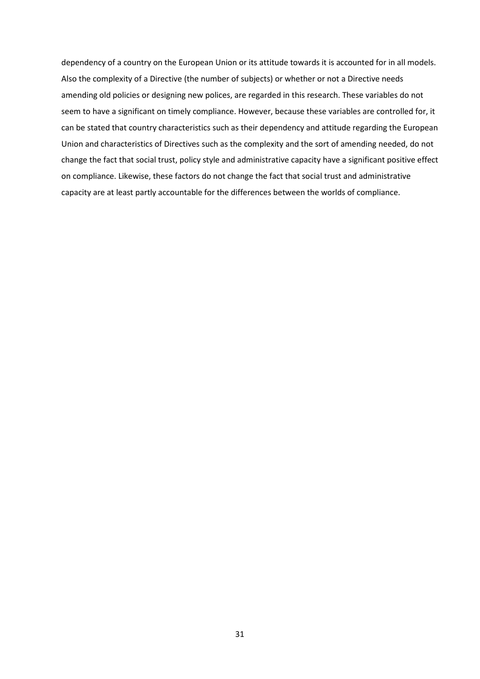dependency of a country on the European Union or its attitude towards it is accounted for in all models. Also the complexity of a Directive (the number of subjects) or whether or not a Directive needs amending old policies or designing new polices, are regarded in this research. These variables do not seem to have a significant on timely compliance. However, because these variables are controlled for, it can be stated that country characteristics such as their dependency and attitude regarding the European Union and characteristics of Directives such as the complexity and the sort of amending needed, do not change the fact that social trust, policy style and administrative capacity have a significant positive effect on compliance. Likewise, these factors do not change the fact that social trust and administrative capacity are at least partly accountable for the differences between the worlds of compliance.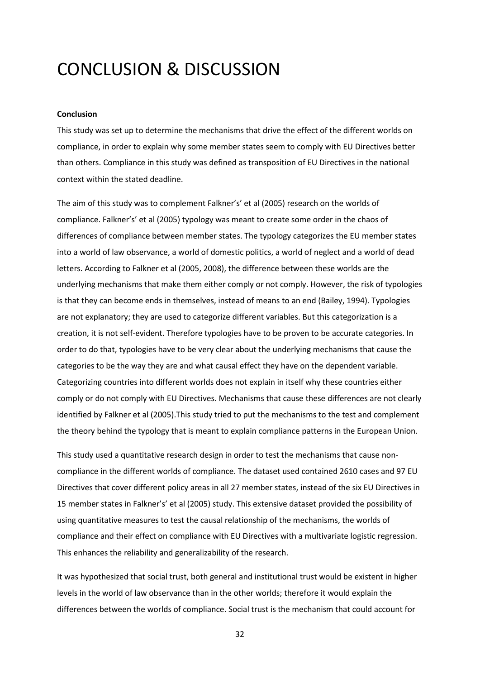# CONCLUSION & DISCUSSION

#### Conclusion

This study was set up to determine the mechanisms that drive the effect of the different worlds on compliance, in order to explain why some member states seem to comply with EU Directives better than others. Compliance in this study was defined as transposition of EU Directives in the national context within the stated deadline.

The aim of this study was to complement Falkner's' et al (2005) research on the worlds of compliance. Falkner's' et al (2005) typology was meant to create some order in the chaos of differences of compliance between member states. The typology categorizes the EU member states into a world of law observance, a world of domestic politics, a world of neglect and a world of dead letters. According to Falkner et al (2005, 2008), the difference between these worlds are the underlying mechanisms that make them either comply or not comply. However, the risk of typologies is that they can become ends in themselves, instead of means to an end (Bailey, 1994). Typologies are not explanatory; they are used to categorize different variables. But this categorization is a creation, it is not self-evident. Therefore typologies have to be proven to be accurate categories. In order to do that, typologies have to be very clear about the underlying mechanisms that cause the categories to be the way they are and what causal effect they have on the dependent variable. Categorizing countries into different worlds does not explain in itself why these countries either comply or do not comply with EU Directives. Mechanisms that cause these differences are not clearly identified by Falkner et al (2005).This study tried to put the mechanisms to the test and complement the theory behind the typology that is meant to explain compliance patterns in the European Union.

This study used a quantitative research design in order to test the mechanisms that cause noncompliance in the different worlds of compliance. The dataset used contained 2610 cases and 97 EU Directives that cover different policy areas in all 27 member states, instead of the six EU Directives in 15 member states in Falkner's' et al (2005) study. This extensive dataset provided the possibility of using quantitative measures to test the causal relationship of the mechanisms, the worlds of compliance and their effect on compliance with EU Directives with a multivariate logistic regression. This enhances the reliability and generalizability of the research.

It was hypothesized that social trust, both general and institutional trust would be existent in higher levels in the world of law observance than in the other worlds; therefore it would explain the differences between the worlds of compliance. Social trust is the mechanism that could account for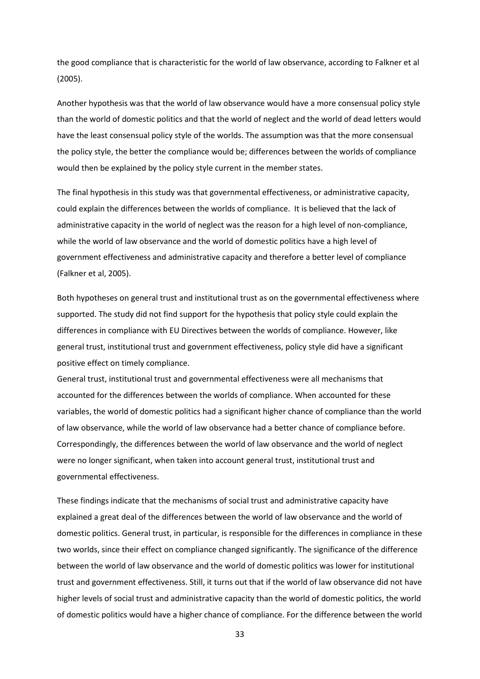the good compliance that is characteristic for the world of law observance, according to Falkner et al (2005).

Another hypothesis was that the world of law observance would have a more consensual policy style than the world of domestic politics and that the world of neglect and the world of dead letters would have the least consensual policy style of the worlds. The assumption was that the more consensual the policy style, the better the compliance would be; differences between the worlds of compliance would then be explained by the policy style current in the member states.

The final hypothesis in this study was that governmental effectiveness, or administrative capacity, could explain the differences between the worlds of compliance. It is believed that the lack of administrative capacity in the world of neglect was the reason for a high level of non-compliance, while the world of law observance and the world of domestic politics have a high level of government effectiveness and administrative capacity and therefore a better level of compliance (Falkner et al, 2005).

Both hypotheses on general trust and institutional trust as on the governmental effectiveness where supported. The study did not find support for the hypothesis that policy style could explain the differences in compliance with EU Directives between the worlds of compliance. However, like general trust, institutional trust and government effectiveness, policy style did have a significant positive effect on timely compliance.

General trust, institutional trust and governmental effectiveness were all mechanisms that accounted for the differences between the worlds of compliance. When accounted for these variables, the world of domestic politics had a significant higher chance of compliance than the world of law observance, while the world of law observance had a better chance of compliance before. Correspondingly, the differences between the world of law observance and the world of neglect were no longer significant, when taken into account general trust, institutional trust and governmental effectiveness.

These findings indicate that the mechanisms of social trust and administrative capacity have explained a great deal of the differences between the world of law observance and the world of domestic politics. General trust, in particular, is responsible for the differences in compliance in these two worlds, since their effect on compliance changed significantly. The significance of the difference between the world of law observance and the world of domestic politics was lower for institutional trust and government effectiveness. Still, it turns out that if the world of law observance did not have higher levels of social trust and administrative capacity than the world of domestic politics, the world of domestic politics would have a higher chance of compliance. For the difference between the world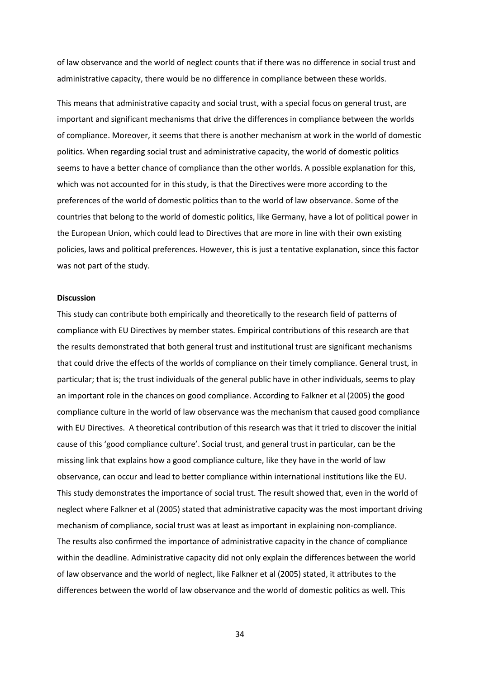of law observance and the world of neglect counts that if there was no difference in social trust and administrative capacity, there would be no difference in compliance between these worlds.

This means that administrative capacity and social trust, with a special focus on general trust, are important and significant mechanisms that drive the differences in compliance between the worlds of compliance. Moreover, it seems that there is another mechanism at work in the world of domestic politics. When regarding social trust and administrative capacity, the world of domestic politics seems to have a better chance of compliance than the other worlds. A possible explanation for this, which was not accounted for in this study, is that the Directives were more according to the preferences of the world of domestic politics than to the world of law observance. Some of the countries that belong to the world of domestic politics, like Germany, have a lot of political power in the European Union, which could lead to Directives that are more in line with their own existing policies, laws and political preferences. However, this is just a tentative explanation, since this factor was not part of the study.

#### **Discussion**

This study can contribute both empirically and theoretically to the research field of patterns of compliance with EU Directives by member states. Empirical contributions of this research are that the results demonstrated that both general trust and institutional trust are significant mechanisms that could drive the effects of the worlds of compliance on their timely compliance. General trust, in particular; that is; the trust individuals of the general public have in other individuals, seems to play an important role in the chances on good compliance. According to Falkner et al (2005) the good compliance culture in the world of law observance was the mechanism that caused good compliance with EU Directives. A theoretical contribution of this research was that it tried to discover the initial cause of this 'good compliance culture'. Social trust, and general trust in particular, can be the missing link that explains how a good compliance culture, like they have in the world of law observance, can occur and lead to better compliance within international institutions like the EU. This study demonstrates the importance of social trust. The result showed that, even in the world of neglect where Falkner et al (2005) stated that administrative capacity was the most important driving mechanism of compliance, social trust was at least as important in explaining non-compliance. The results also confirmed the importance of administrative capacity in the chance of compliance within the deadline. Administrative capacity did not only explain the differences between the world of law observance and the world of neglect, like Falkner et al (2005) stated, it attributes to the differences between the world of law observance and the world of domestic politics as well. This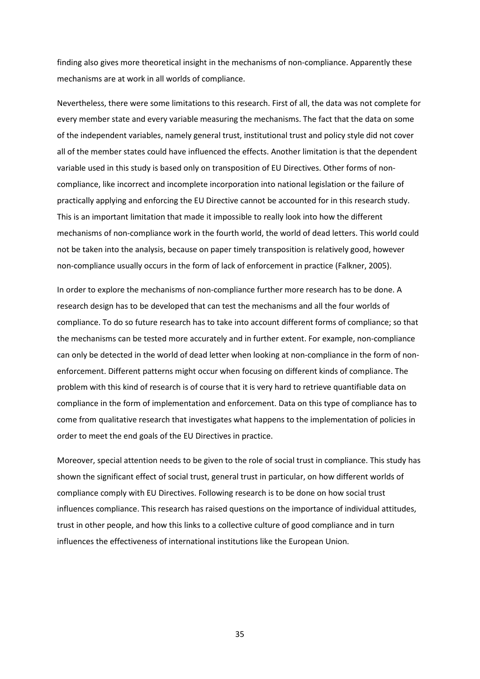finding also gives more theoretical insight in the mechanisms of non-compliance. Apparently these mechanisms are at work in all worlds of compliance.

Nevertheless, there were some limitations to this research. First of all, the data was not complete for every member state and every variable measuring the mechanisms. The fact that the data on some of the independent variables, namely general trust, institutional trust and policy style did not cover all of the member states could have influenced the effects. Another limitation is that the dependent variable used in this study is based only on transposition of EU Directives. Other forms of noncompliance, like incorrect and incomplete incorporation into national legislation or the failure of practically applying and enforcing the EU Directive cannot be accounted for in this research study. This is an important limitation that made it impossible to really look into how the different mechanisms of non-compliance work in the fourth world, the world of dead letters. This world could not be taken into the analysis, because on paper timely transposition is relatively good, however non-compliance usually occurs in the form of lack of enforcement in practice (Falkner, 2005).

In order to explore the mechanisms of non-compliance further more research has to be done. A research design has to be developed that can test the mechanisms and all the four worlds of compliance. To do so future research has to take into account different forms of compliance; so that the mechanisms can be tested more accurately and in further extent. For example, non-compliance can only be detected in the world of dead letter when looking at non-compliance in the form of nonenforcement. Different patterns might occur when focusing on different kinds of compliance. The problem with this kind of research is of course that it is very hard to retrieve quantifiable data on compliance in the form of implementation and enforcement. Data on this type of compliance has to come from qualitative research that investigates what happens to the implementation of policies in order to meet the end goals of the EU Directives in practice.

Moreover, special attention needs to be given to the role of social trust in compliance. This study has shown the significant effect of social trust, general trust in particular, on how different worlds of compliance comply with EU Directives. Following research is to be done on how social trust influences compliance. This research has raised questions on the importance of individual attitudes, trust in other people, and how this links to a collective culture of good compliance and in turn influences the effectiveness of international institutions like the European Union.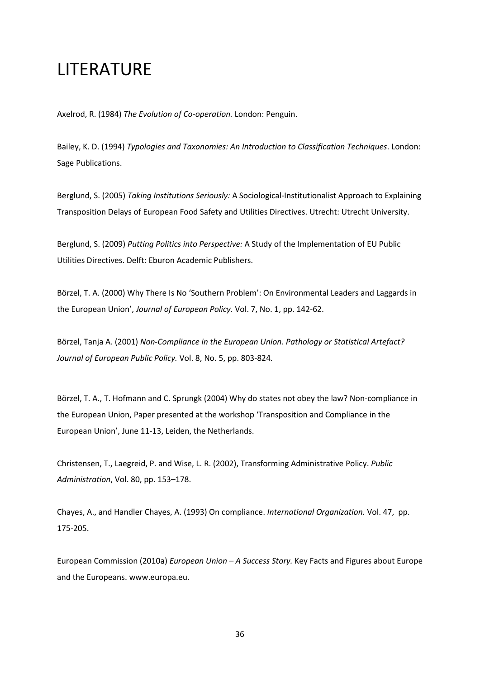# LITERATURE

Axelrod, R. (1984) The Evolution of Co-operation. London: Penguin.

Bailey, K. D. (1994) Typologies and Taxonomies: An Introduction to Classification Techniques. London: Sage Publications.

Berglund, S. (2005) Taking Institutions Seriously: A Sociological-Institutionalist Approach to Explaining Transposition Delays of European Food Safety and Utilities Directives. Utrecht: Utrecht University.

Berglund, S. (2009) Putting Politics into Perspective: A Study of the Implementation of EU Public Utilities Directives. Delft: Eburon Academic Publishers.

Börzel, T. A. (2000) Why There Is No 'Southern Problem': On Environmental Leaders and Laggards in the European Union', Journal of European Policy. Vol. 7, No. 1, pp. 142-62.

Börzel, Tanja A. (2001) Non-Compliance in the European Union. Pathology or Statistical Artefact? Journal of European Public Policy. Vol. 8, No. 5, pp. 803-824.

Börzel, T. A., T. Hofmann and C. Sprungk (2004) Why do states not obey the law? Non-compliance in the European Union, Paper presented at the workshop 'Transposition and Compliance in the European Union', June 11-13, Leiden, the Netherlands.

Christensen, T., Laegreid, P. and Wise, L. R. (2002), Transforming Administrative Policy. Public Administration, Vol. 80, pp. 153–178.

Chayes, A., and Handler Chayes, A. (1993) On compliance. International Organization. Vol. 47, pp. 175-205.

European Commission (2010a) European Union  $-A$  Success Story. Key Facts and Figures about Europe and the Europeans. www.europa.eu.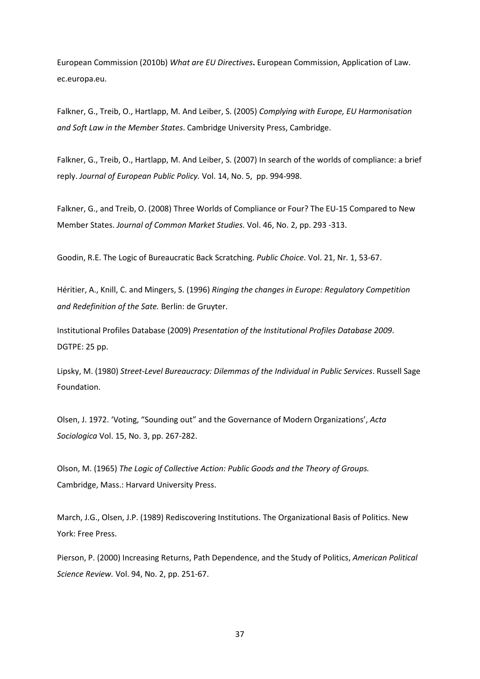European Commission (2010b) What are EU Directives. European Commission, Application of Law. ec.europa.eu.

Falkner, G., Treib, O., Hartlapp, M. And Leiber, S. (2005) Complying with Europe, EU Harmonisation and Soft Law in the Member States. Cambridge University Press, Cambridge.

Falkner, G., Treib, O., Hartlapp, M. And Leiber, S. (2007) In search of the worlds of compliance: a brief reply. Journal of European Public Policy. Vol. 14, No. 5, pp. 994-998.

Falkner, G., and Treib, O. (2008) Three Worlds of Compliance or Four? The EU-15 Compared to New Member States. Journal of Common Market Studies. Vol. 46, No. 2, pp. 293 -313.

Goodin, R.E. The Logic of Bureaucratic Back Scratching. Public Choice. Vol. 21, Nr. 1, 53-67.

Héritier, A., Knill, C. and Mingers, S. (1996) Ringing the changes in Europe: Regulatory Competition and Redefinition of the Sate. Berlin: de Gruyter.

Institutional Profiles Database (2009) Presentation of the Institutional Profiles Database 2009. DGTPE: 25 pp.

Lipsky, M. (1980) Street-Level Bureaucracy: Dilemmas of the Individual in Public Services. Russell Sage Foundation.

Olsen, J. 1972. 'Voting, "Sounding out" and the Governance of Modern Organizations', Acta Sociologica Vol. 15, No. 3, pp. 267-282.

Olson, M. (1965) The Logic of Collective Action: Public Goods and the Theory of Groups. Cambridge, Mass.: Harvard University Press.

March, J.G., Olsen, J.P. (1989) Rediscovering Institutions. The Organizational Basis of Politics. New York: Free Press.

Pierson, P. (2000) Increasing Returns, Path Dependence, and the Study of Politics, American Political Science Review. Vol. 94, No. 2, pp. 251-67.